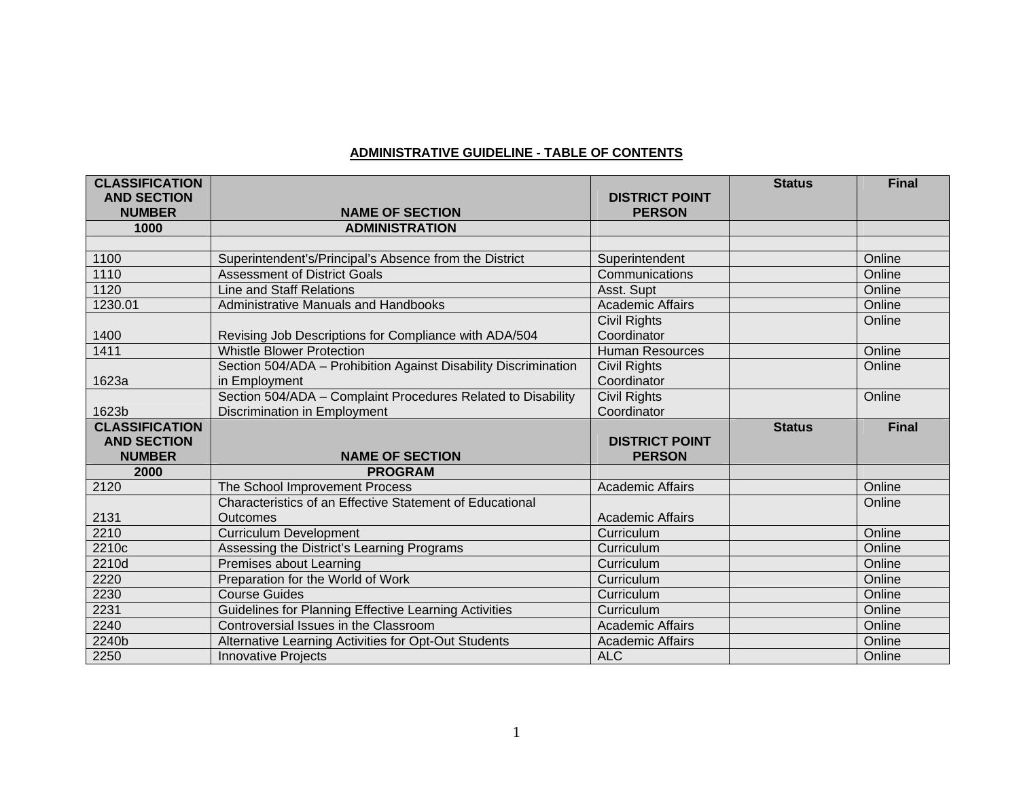## **ADMINISTRATIVE GUIDELINE - TABLE OF CONTENTS**

| <b>CLASSIFICATION</b><br><b>AND SECTION</b> |                                                                 | <b>DISTRICT POINT</b>                 | <b>Status</b> | <b>Final</b>     |
|---------------------------------------------|-----------------------------------------------------------------|---------------------------------------|---------------|------------------|
| <b>NUMBER</b>                               | <b>NAME OF SECTION</b>                                          | <b>PERSON</b>                         |               |                  |
| 1000                                        | <b>ADMINISTRATION</b>                                           |                                       |               |                  |
|                                             |                                                                 |                                       |               |                  |
| 1100                                        | Superintendent's/Principal's Absence from the District          | Superintendent                        |               | Online           |
| 1110                                        | <b>Assessment of District Goals</b>                             | Communications                        |               | Online           |
| 1120                                        | Line and Staff Relations                                        | Asst. Supt                            |               | Online           |
| 1230.01                                     | Administrative Manuals and Handbooks                            | <b>Academic Affairs</b>               |               | Online           |
|                                             |                                                                 | Civil Rights                          |               | Online           |
| 1400                                        | Revising Job Descriptions for Compliance with ADA/504           | Coordinator                           |               |                  |
| 1411                                        | <b>Whistle Blower Protection</b>                                | <b>Human Resources</b>                |               | Online           |
|                                             | Section 504/ADA - Prohibition Against Disability Discrimination | <b>Civil Rights</b>                   |               | Online           |
| 1623a                                       | in Employment                                                   | Coordinator                           |               |                  |
|                                             | Section 504/ADA - Complaint Procedures Related to Disability    | <b>Civil Rights</b>                   |               | Online           |
| 1623b                                       | Discrimination in Employment                                    | Coordinator                           |               |                  |
| <b>CLASSIFICATION</b>                       |                                                                 |                                       | <b>Status</b> | <b>Final</b>     |
|                                             |                                                                 |                                       |               |                  |
| <b>AND SECTION</b>                          |                                                                 | <b>DISTRICT POINT</b>                 |               |                  |
| <b>NUMBER</b>                               | <b>NAME OF SECTION</b>                                          | <b>PERSON</b>                         |               |                  |
| 2000                                        | <b>PROGRAM</b>                                                  |                                       |               |                  |
| 2120                                        | The School Improvement Process                                  | <b>Academic Affairs</b>               |               | Online           |
|                                             | Characteristics of an Effective Statement of Educational        |                                       |               | Online           |
| 2131                                        | <b>Outcomes</b>                                                 | <b>Academic Affairs</b>               |               |                  |
| 2210                                        | <b>Curriculum Development</b>                                   | Curriculum                            |               | Online           |
| 2210c                                       | Assessing the District's Learning Programs                      | Curriculum                            |               | Online           |
| 2210d                                       | Premises about Learning                                         | Curriculum                            |               | Online           |
| 2220                                        | Preparation for the World of Work                               | Curriculum                            |               | Online           |
| 2230                                        | <b>Course Guides</b>                                            | Curriculum                            |               | Online           |
| 2231                                        | Guidelines for Planning Effective Learning Activities           | Curriculum                            |               | Online           |
| 2240                                        | Controversial Issues in the Classroom                           | <b>Academic Affairs</b>               |               | Online           |
| 2240b<br>2250                               | Alternative Learning Activities for Opt-Out Students            | <b>Academic Affairs</b><br><b>ALC</b> |               | Online<br>Online |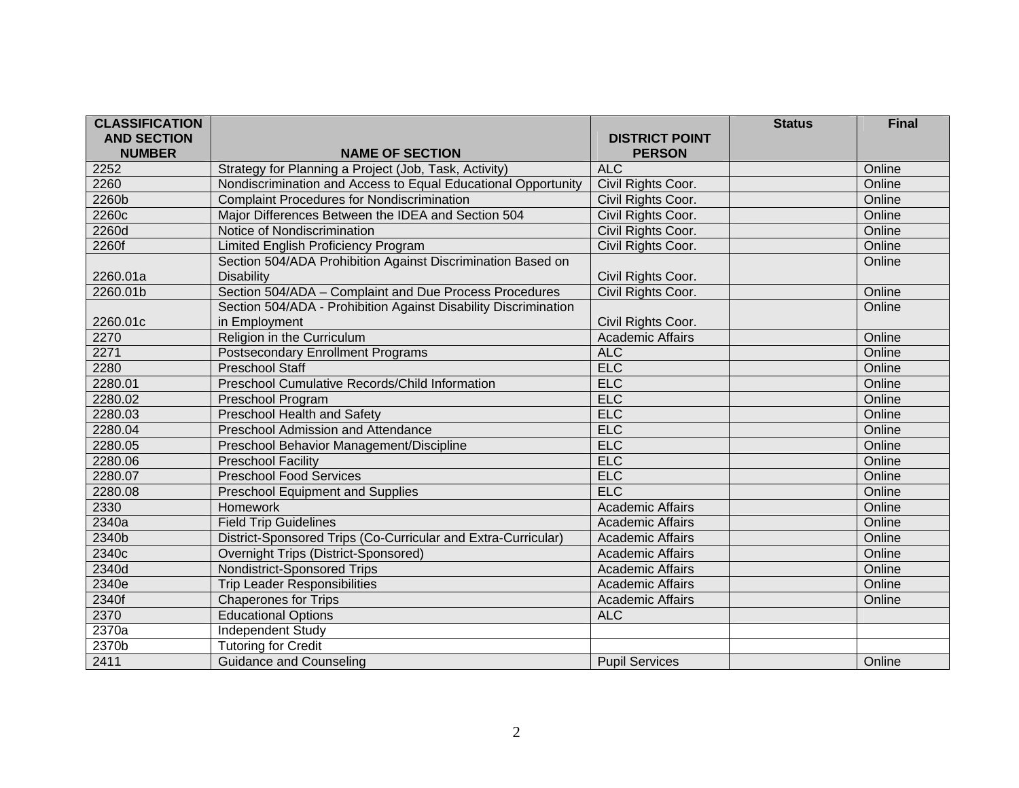| <b>CLASSIFICATION</b> |                                                                 |                         | <b>Status</b> | <b>Final</b> |
|-----------------------|-----------------------------------------------------------------|-------------------------|---------------|--------------|
| <b>AND SECTION</b>    |                                                                 | <b>DISTRICT POINT</b>   |               |              |
| <b>NUMBER</b>         | <b>NAME OF SECTION</b>                                          | <b>PERSON</b>           |               |              |
| 2252                  | Strategy for Planning a Project (Job, Task, Activity)           | <b>ALC</b>              |               | Online       |
| 2260                  | Nondiscrimination and Access to Equal Educational Opportunity   | Civil Rights Coor.      |               | Online       |
| 2260b                 | <b>Complaint Procedures for Nondiscrimination</b>               | Civil Rights Coor.      |               | Online       |
| 2260c                 | Major Differences Between the IDEA and Section 504              | Civil Rights Coor.      |               | Online       |
| 2260d                 | Notice of Nondiscrimination                                     | Civil Rights Coor.      |               | Online       |
| 2260f                 | Limited English Proficiency Program                             | Civil Rights Coor.      |               | Online       |
|                       | Section 504/ADA Prohibition Against Discrimination Based on     |                         |               | Online       |
| 2260.01a              | <b>Disability</b>                                               | Civil Rights Coor.      |               |              |
| 2260.01b              | Section 504/ADA - Complaint and Due Process Procedures          | Civil Rights Coor.      |               | Online       |
|                       | Section 504/ADA - Prohibition Against Disability Discrimination |                         |               | Online       |
| 2260.01c              | in Employment                                                   | Civil Rights Coor.      |               |              |
| 2270                  | Religion in the Curriculum                                      | <b>Academic Affairs</b> |               | Online       |
| 2271                  | <b>Postsecondary Enrollment Programs</b>                        | <b>ALC</b>              |               | Online       |
| 2280                  | <b>Preschool Staff</b>                                          | <b>ELC</b>              |               | Online       |
| 2280.01               | <b>Preschool Cumulative Records/Child Information</b>           | ELC                     |               | Online       |
| 2280.02               | Preschool Program                                               | <b>ELC</b>              |               | Online       |
| 2280.03               | <b>Preschool Health and Safety</b>                              | <b>ELC</b>              |               | Online       |
| 2280.04               | Preschool Admission and Attendance                              | <b>ELC</b>              |               | Online       |
| 2280.05               | Preschool Behavior Management/Discipline                        | <b>ELC</b>              |               | Online       |
| 2280.06               | <b>Preschool Facility</b>                                       | <b>ELC</b>              |               | Online       |
| 2280.07               | <b>Preschool Food Services</b>                                  | <b>ELC</b>              |               | Online       |
| 2280.08               | <b>Preschool Equipment and Supplies</b>                         | <b>ELC</b>              |               | Online       |
| 2330                  | Homework                                                        | <b>Academic Affairs</b> |               | Online       |
| 2340a                 | <b>Field Trip Guidelines</b>                                    | <b>Academic Affairs</b> |               | Online       |
| 2340b                 | District-Sponsored Trips (Co-Curricular and Extra-Curricular)   | <b>Academic Affairs</b> |               | Online       |
| 2340c                 | Overnight Trips (District-Sponsored)                            | <b>Academic Affairs</b> |               | Online       |
| 2340d                 | <b>Nondistrict-Sponsored Trips</b>                              | <b>Academic Affairs</b> |               | Online       |
| 2340e                 | <b>Trip Leader Responsibilities</b>                             | <b>Academic Affairs</b> |               | Online       |
| 2340f                 | <b>Chaperones for Trips</b>                                     | <b>Academic Affairs</b> |               | Online       |
| 2370                  | <b>Educational Options</b>                                      | <b>ALC</b>              |               |              |
| 2370a                 | Independent Study                                               |                         |               |              |
| 2370b                 | <b>Tutoring for Credit</b>                                      |                         |               |              |
| 2411                  | <b>Guidance and Counseling</b>                                  | <b>Pupil Services</b>   |               | Online       |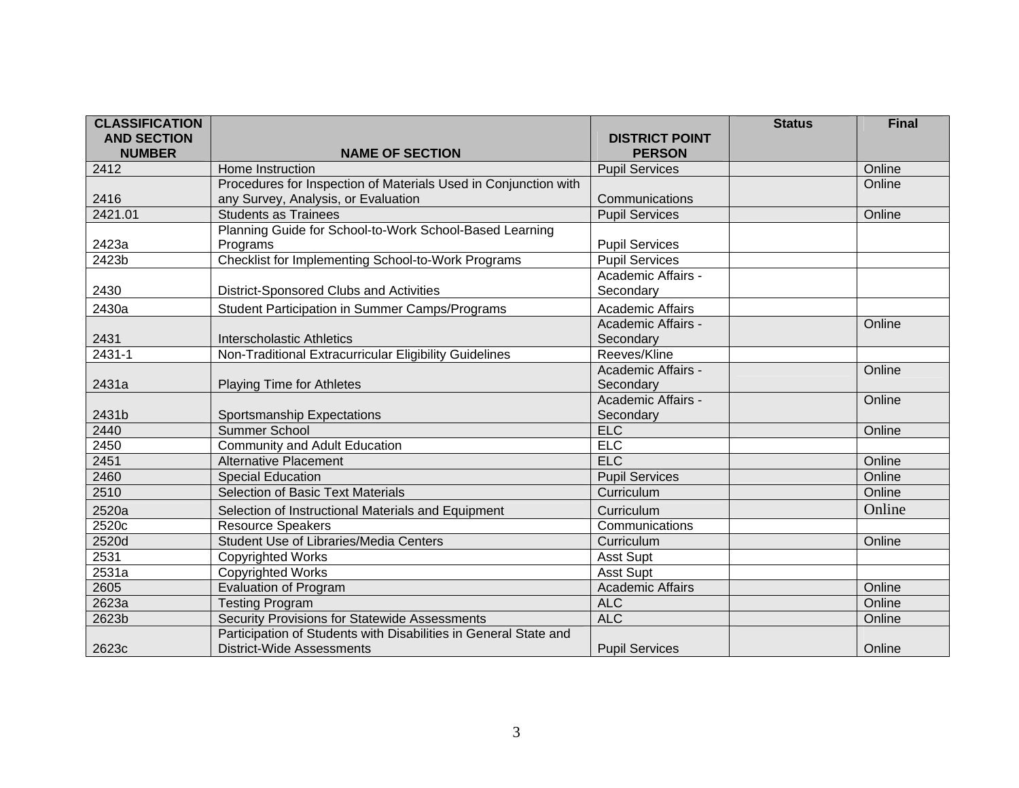| <b>CLASSIFICATION</b> |                                                                  |                         | <b>Status</b> | <b>Final</b> |
|-----------------------|------------------------------------------------------------------|-------------------------|---------------|--------------|
| <b>AND SECTION</b>    |                                                                  | <b>DISTRICT POINT</b>   |               |              |
| <b>NUMBER</b>         | <b>NAME OF SECTION</b>                                           | <b>PERSON</b>           |               |              |
| 2412                  | Home Instruction                                                 | <b>Pupil Services</b>   |               | Online       |
|                       | Procedures for Inspection of Materials Used in Conjunction with  |                         |               | Online       |
| 2416                  | any Survey, Analysis, or Evaluation                              | Communications          |               |              |
| 2421.01               | <b>Students as Trainees</b>                                      | <b>Pupil Services</b>   |               | Online       |
|                       | Planning Guide for School-to-Work School-Based Learning          |                         |               |              |
| 2423a                 | Programs                                                         | <b>Pupil Services</b>   |               |              |
| 2423b                 | Checklist for Implementing School-to-Work Programs               | <b>Pupil Services</b>   |               |              |
|                       |                                                                  | Academic Affairs -      |               |              |
| 2430                  | District-Sponsored Clubs and Activities                          | Secondary               |               |              |
| 2430a                 | Student Participation in Summer Camps/Programs                   | Academic Affairs        |               |              |
|                       |                                                                  | Academic Affairs -      |               | Online       |
| 2431                  | Interscholastic Athletics                                        | Secondary               |               |              |
| 2431-1                | Non-Traditional Extracurricular Eligibility Guidelines           | Reeves/Kline            |               |              |
|                       |                                                                  | Academic Affairs -      |               | Online       |
| 2431a                 | <b>Playing Time for Athletes</b>                                 | Secondary               |               |              |
|                       |                                                                  | Academic Affairs -      |               | Online       |
| 2431b                 | Sportsmanship Expectations                                       | Secondary               |               |              |
| 2440                  | <b>Summer School</b>                                             | <b>ELC</b>              |               | Online       |
| 2450                  | <b>Community and Adult Education</b>                             | <b>ELC</b>              |               |              |
| 2451                  | <b>Alternative Placement</b>                                     | <b>ELC</b>              |               | Online       |
| 2460                  | <b>Special Education</b>                                         | <b>Pupil Services</b>   |               | Online       |
| 2510                  | <b>Selection of Basic Text Materials</b>                         | Curriculum              |               | Online       |
| 2520a                 | Selection of Instructional Materials and Equipment               | Curriculum              |               | Online       |
| 2520c                 | <b>Resource Speakers</b>                                         | Communications          |               |              |
| 2520d                 | Student Use of Libraries/Media Centers                           | Curriculum              |               | Online       |
| 2531                  | <b>Copyrighted Works</b>                                         | <b>Asst Supt</b>        |               |              |
| 2531a                 | <b>Copyrighted Works</b>                                         | <b>Asst Supt</b>        |               |              |
| 2605                  | <b>Evaluation of Program</b>                                     | <b>Academic Affairs</b> |               | Online       |
| 2623a                 | <b>Testing Program</b>                                           | <b>ALC</b>              |               | Online       |
| 2623b                 | Security Provisions for Statewide Assessments                    | <b>ALC</b>              |               | Online       |
|                       | Participation of Students with Disabilities in General State and |                         |               |              |
| 2623c                 | <b>District-Wide Assessments</b>                                 | <b>Pupil Services</b>   |               | Online       |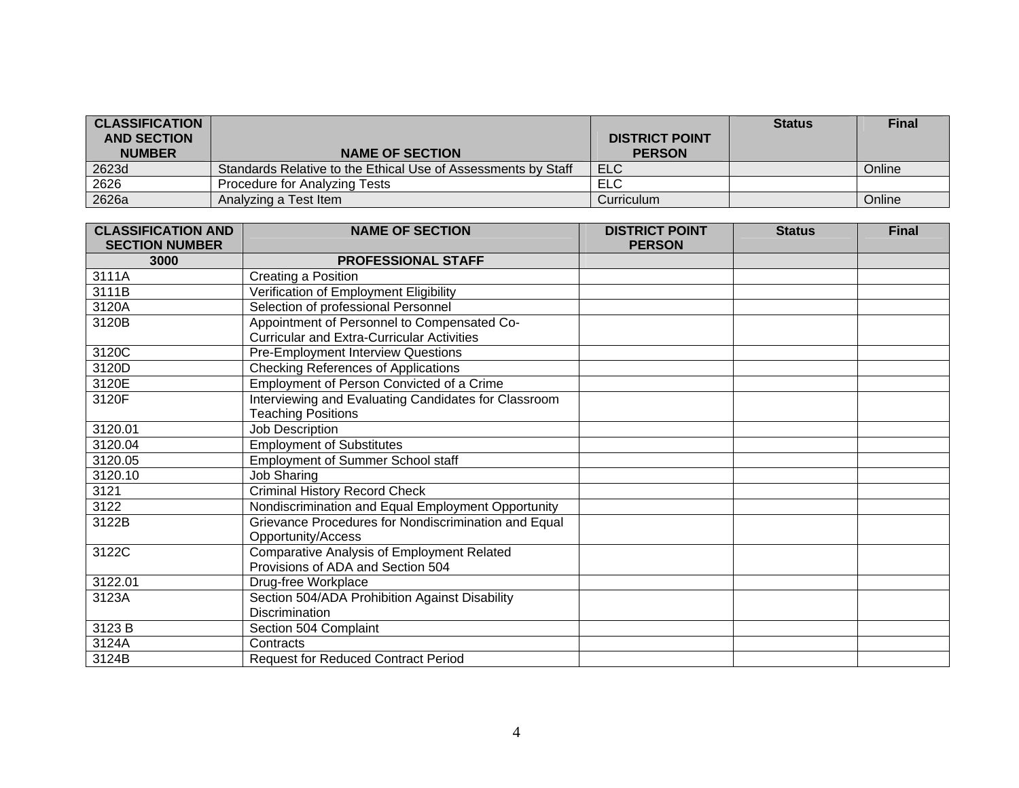| <b>CLASSIFICATION</b><br><b>AND SECTION</b> |                                                               | <b>DISTRICT POINT</b> | <b>Status</b> | <b>Final</b> |
|---------------------------------------------|---------------------------------------------------------------|-----------------------|---------------|--------------|
| <b>NUMBER</b>                               | <b>NAME OF SECTION</b>                                        | <b>PERSON</b>         |               |              |
| 2623d                                       | Standards Relative to the Ethical Use of Assessments by Staff | <b>ELC</b>            |               | Online       |
| 2626                                        | Procedure for Analyzing Tests                                 | ELC                   |               |              |
| 2626a                                       | Analyzing a Test Item                                         | Curriculum            |               | Online       |

| <b>CLASSIFICATION AND</b> | <b>NAME OF SECTION</b>                               | <b>DISTRICT POINT</b> | <b>Status</b> | <b>Final</b> |
|---------------------------|------------------------------------------------------|-----------------------|---------------|--------------|
| <b>SECTION NUMBER</b>     |                                                      | <b>PERSON</b>         |               |              |
| 3000                      | <b>PROFESSIONAL STAFF</b>                            |                       |               |              |
| 3111A                     | Creating a Position                                  |                       |               |              |
| 3111B                     | Verification of Employment Eligibility               |                       |               |              |
| 3120A                     | Selection of professional Personnel                  |                       |               |              |
| 3120B                     | Appointment of Personnel to Compensated Co-          |                       |               |              |
|                           | <b>Curricular and Extra-Curricular Activities</b>    |                       |               |              |
| 3120C                     | <b>Pre-Employment Interview Questions</b>            |                       |               |              |
| 3120D                     | Checking References of Applications                  |                       |               |              |
| 3120E                     | Employment of Person Convicted of a Crime            |                       |               |              |
| 3120F                     | Interviewing and Evaluating Candidates for Classroom |                       |               |              |
|                           | <b>Teaching Positions</b>                            |                       |               |              |
| 3120.01                   | Job Description                                      |                       |               |              |
| 3120.04                   | <b>Employment of Substitutes</b>                     |                       |               |              |
| 3120.05                   | <b>Employment of Summer School staff</b>             |                       |               |              |
| 3120.10                   | Job Sharing                                          |                       |               |              |
| 3121                      | <b>Criminal History Record Check</b>                 |                       |               |              |
| 3122                      | Nondiscrimination and Equal Employment Opportunity   |                       |               |              |
| 3122B                     | Grievance Procedures for Nondiscrimination and Equal |                       |               |              |
|                           | Opportunity/Access                                   |                       |               |              |
| 3122C                     | <b>Comparative Analysis of Employment Related</b>    |                       |               |              |
|                           | Provisions of ADA and Section 504                    |                       |               |              |
| 3122.01                   | Drug-free Workplace                                  |                       |               |              |
| 3123A                     | Section 504/ADA Prohibition Against Disability       |                       |               |              |
|                           | <b>Discrimination</b>                                |                       |               |              |
| 3123 B                    | Section 504 Complaint                                |                       |               |              |
| 3124A                     | Contracts                                            |                       |               |              |
| 3124B                     | <b>Request for Reduced Contract Period</b>           |                       |               |              |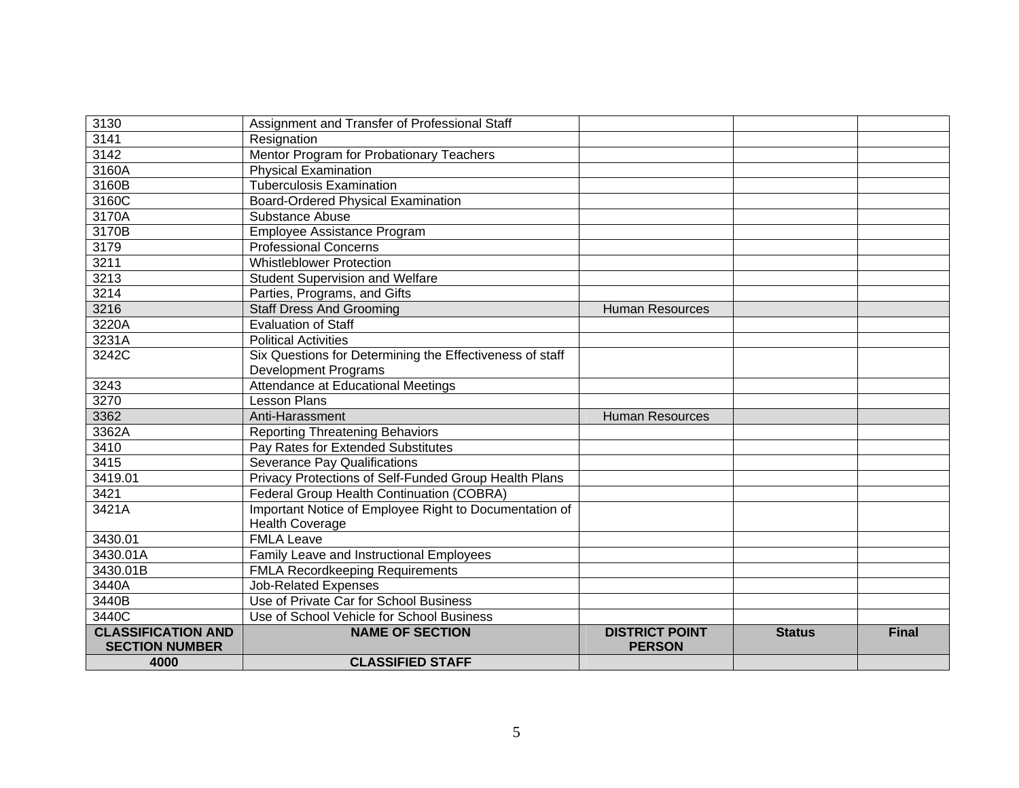| 3130                      | Assignment and Transfer of Professional Staff            |                        |               |              |
|---------------------------|----------------------------------------------------------|------------------------|---------------|--------------|
| 3141                      | Resignation                                              |                        |               |              |
| 3142                      | Mentor Program for Probationary Teachers                 |                        |               |              |
| 3160A                     | <b>Physical Examination</b>                              |                        |               |              |
| 3160B                     | <b>Tuberculosis Examination</b>                          |                        |               |              |
| 3160C                     | <b>Board-Ordered Physical Examination</b>                |                        |               |              |
| 3170A                     | Substance Abuse                                          |                        |               |              |
| 3170B                     | Employee Assistance Program                              |                        |               |              |
| 3179                      | <b>Professional Concerns</b>                             |                        |               |              |
| 3211                      | <b>Whistleblower Protection</b>                          |                        |               |              |
| 3213                      | <b>Student Supervision and Welfare</b>                   |                        |               |              |
| 3214                      | Parties, Programs, and Gifts                             |                        |               |              |
| 3216                      | <b>Staff Dress And Grooming</b>                          | <b>Human Resources</b> |               |              |
| 3220A                     | <b>Evaluation of Staff</b>                               |                        |               |              |
| 3231A                     | <b>Political Activities</b>                              |                        |               |              |
| 3242C                     | Six Questions for Determining the Effectiveness of staff |                        |               |              |
|                           | Development Programs                                     |                        |               |              |
| 3243                      | Attendance at Educational Meetings                       |                        |               |              |
| 3270                      | <b>Lesson Plans</b>                                      |                        |               |              |
| 3362                      | Anti-Harassment                                          | <b>Human Resources</b> |               |              |
| 3362A                     | <b>Reporting Threatening Behaviors</b>                   |                        |               |              |
| 3410                      | Pay Rates for Extended Substitutes                       |                        |               |              |
| 3415                      | <b>Severance Pay Qualifications</b>                      |                        |               |              |
| 3419.01                   | Privacy Protections of Self-Funded Group Health Plans    |                        |               |              |
| 3421                      | Federal Group Health Continuation (COBRA)                |                        |               |              |
| 3421A                     | Important Notice of Employee Right to Documentation of   |                        |               |              |
|                           | <b>Health Coverage</b>                                   |                        |               |              |
| 3430.01                   | <b>FMLA Leave</b>                                        |                        |               |              |
| 3430.01A                  | Family Leave and Instructional Employees                 |                        |               |              |
| 3430.01B                  | <b>FMLA Recordkeeping Requirements</b>                   |                        |               |              |
| 3440A                     | <b>Job-Related Expenses</b>                              |                        |               |              |
| 3440B                     | Use of Private Car for School Business                   |                        |               |              |
| 3440C                     | Use of School Vehicle for School Business                |                        |               |              |
| <b>CLASSIFICATION AND</b> | <b>NAME OF SECTION</b>                                   | <b>DISTRICT POINT</b>  | <b>Status</b> | <b>Final</b> |
| <b>SECTION NUMBER</b>     |                                                          | <b>PERSON</b>          |               |              |
| 4000                      | <b>CLASSIFIED STAFF</b>                                  |                        |               |              |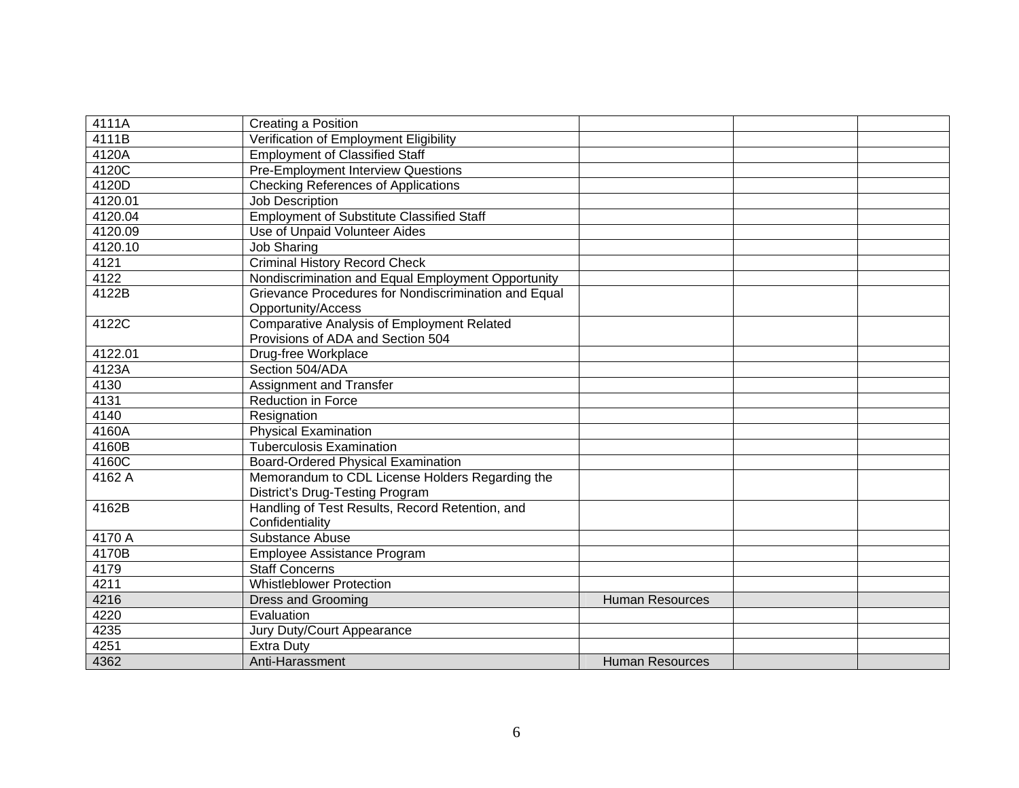| 4111A   | Creating a Position                                  |                        |  |
|---------|------------------------------------------------------|------------------------|--|
| 4111B   | Verification of Employment Eligibility               |                        |  |
| 4120A   | <b>Employment of Classified Staff</b>                |                        |  |
| 4120C   | <b>Pre-Employment Interview Questions</b>            |                        |  |
| 4120D   | <b>Checking References of Applications</b>           |                        |  |
| 4120.01 | <b>Job Description</b>                               |                        |  |
|         |                                                      |                        |  |
| 4120.04 | <b>Employment of Substitute Classified Staff</b>     |                        |  |
| 4120.09 | Use of Unpaid Volunteer Aides                        |                        |  |
| 4120.10 | <b>Job Sharing</b>                                   |                        |  |
| 4121    | <b>Criminal History Record Check</b>                 |                        |  |
| 4122    | Nondiscrimination and Equal Employment Opportunity   |                        |  |
| 4122B   | Grievance Procedures for Nondiscrimination and Equal |                        |  |
|         | Opportunity/Access                                   |                        |  |
| 4122C   | Comparative Analysis of Employment Related           |                        |  |
|         | Provisions of ADA and Section 504                    |                        |  |
| 4122.01 | Drug-free Workplace                                  |                        |  |
| 4123A   | Section 504/ADA                                      |                        |  |
| 4130    | Assignment and Transfer                              |                        |  |
| 4131    | Reduction in Force                                   |                        |  |
| 4140    | Resignation                                          |                        |  |
| 4160A   | <b>Physical Examination</b>                          |                        |  |
| 4160B   | <b>Tuberculosis Examination</b>                      |                        |  |
| 4160C   | Board-Ordered Physical Examination                   |                        |  |
| 4162 A  | Memorandum to CDL License Holders Regarding the      |                        |  |
|         | District's Drug-Testing Program                      |                        |  |
| 4162B   | Handling of Test Results, Record Retention, and      |                        |  |
|         | Confidentiality                                      |                        |  |
| 4170 A  | Substance Abuse                                      |                        |  |
| 4170B   | Employee Assistance Program                          |                        |  |
| 4179    | <b>Staff Concerns</b>                                |                        |  |
| 4211    | <b>Whistleblower Protection</b>                      |                        |  |
| 4216    | <b>Dress and Grooming</b>                            | <b>Human Resources</b> |  |
| 4220    | Evaluation                                           |                        |  |
| 4235    | Jury Duty/Court Appearance                           |                        |  |
| 4251    | <b>Extra Duty</b>                                    |                        |  |
|         |                                                      |                        |  |
| 4362    | Anti-Harassment                                      | <b>Human Resources</b> |  |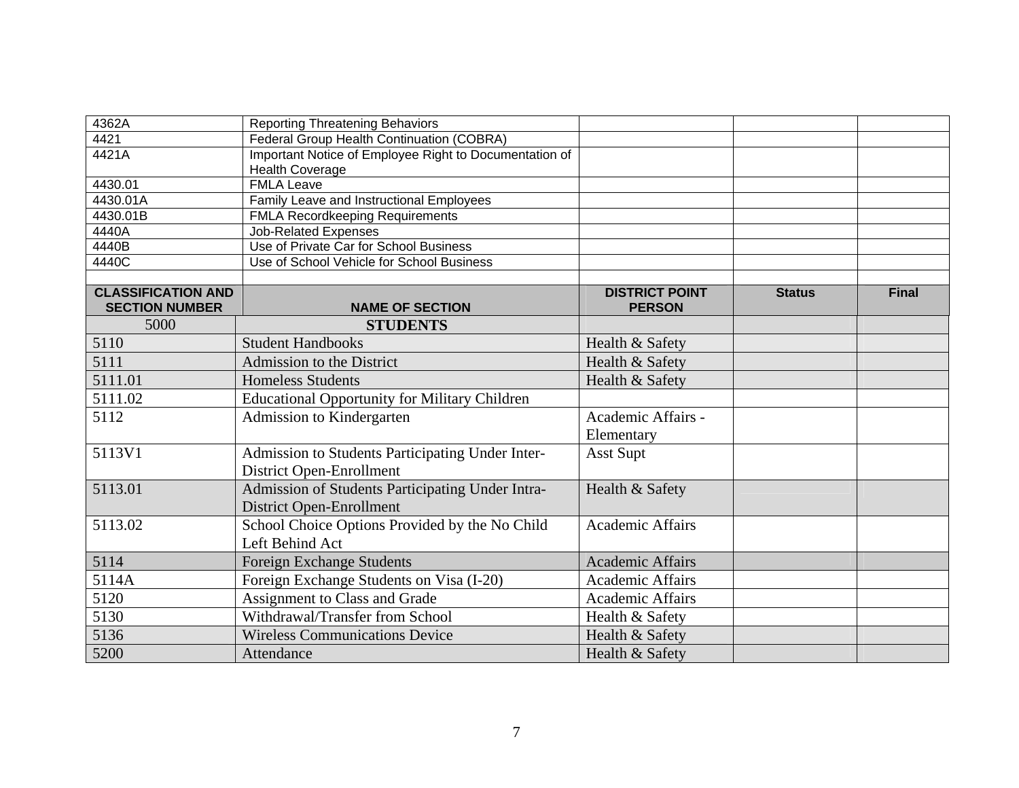| 4362A                     | <b>Reporting Threatening Behaviors</b>                 |                         |               |              |
|---------------------------|--------------------------------------------------------|-------------------------|---------------|--------------|
| 4421                      | Federal Group Health Continuation (COBRA)              |                         |               |              |
| 4421A                     | Important Notice of Employee Right to Documentation of |                         |               |              |
|                           | <b>Health Coverage</b>                                 |                         |               |              |
| 4430.01                   | <b>FMLA Leave</b>                                      |                         |               |              |
| 4430.01A                  | Family Leave and Instructional Employees               |                         |               |              |
| 4430.01B                  | <b>FMLA Recordkeeping Requirements</b>                 |                         |               |              |
| 4440A                     | <b>Job-Related Expenses</b>                            |                         |               |              |
| 4440B                     | Use of Private Car for School Business                 |                         |               |              |
| 4440C                     | Use of School Vehicle for School Business              |                         |               |              |
| <b>CLASSIFICATION AND</b> |                                                        | <b>DISTRICT POINT</b>   | <b>Status</b> | <b>Final</b> |
| <b>SECTION NUMBER</b>     | <b>NAME OF SECTION</b>                                 | <b>PERSON</b>           |               |              |
| 5000                      | <b>STUDENTS</b>                                        |                         |               |              |
| 5110                      | <b>Student Handbooks</b>                               | Health & Safety         |               |              |
| 5111                      | Admission to the District                              | Health & Safety         |               |              |
| 5111.01                   | <b>Homeless Students</b>                               | Health & Safety         |               |              |
| 5111.02                   | <b>Educational Opportunity for Military Children</b>   |                         |               |              |
| 5112                      | Admission to Kindergarten                              | Academic Affairs -      |               |              |
|                           |                                                        | Elementary              |               |              |
| 5113V1                    | Admission to Students Participating Under Inter-       | <b>Asst Supt</b>        |               |              |
|                           | <b>District Open-Enrollment</b>                        |                         |               |              |
| 5113.01                   | Admission of Students Participating Under Intra-       | Health & Safety         |               |              |
|                           | <b>District Open-Enrollment</b>                        |                         |               |              |
| 5113.02                   | School Choice Options Provided by the No Child         | <b>Academic Affairs</b> |               |              |
|                           | Left Behind Act                                        |                         |               |              |
| 5114                      | <b>Foreign Exchange Students</b>                       | <b>Academic Affairs</b> |               |              |
| 5114A                     | Foreign Exchange Students on Visa (I-20)               | <b>Academic Affairs</b> |               |              |
| 5120                      | Assignment to Class and Grade                          | <b>Academic Affairs</b> |               |              |
| 5130                      | Withdrawal/Transfer from School                        | Health & Safety         |               |              |
| 5136                      | <b>Wireless Communications Device</b>                  | Health & Safety         |               |              |
| 5200                      | Attendance                                             | Health & Safety         |               |              |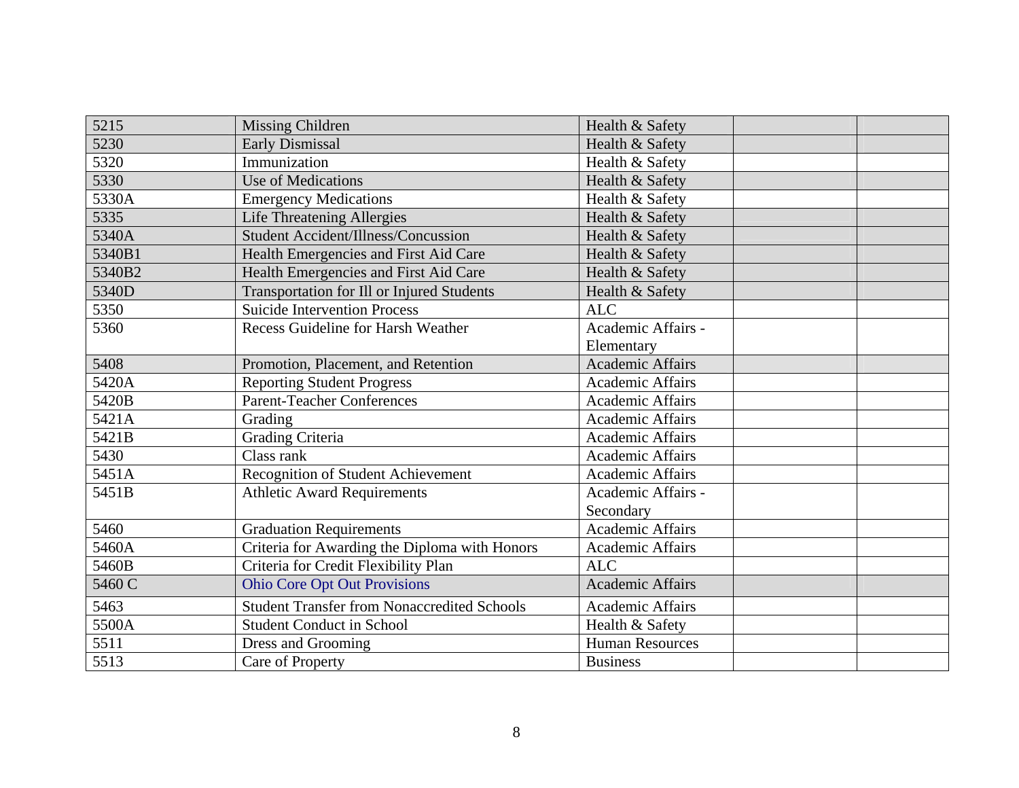| 5215   | Missing Children                                   | Health & Safety         |
|--------|----------------------------------------------------|-------------------------|
| 5230   | Early Dismissal                                    | Health & Safety         |
| 5320   | Immunization                                       | Health & Safety         |
| 5330   | Use of Medications                                 | Health & Safety         |
| 5330A  | <b>Emergency Medications</b>                       | Health & Safety         |
| 5335   | <b>Life Threatening Allergies</b>                  | Health & Safety         |
| 5340A  | <b>Student Accident/Illness/Concussion</b>         | Health & Safety         |
| 5340B1 | Health Emergencies and First Aid Care              | Health & Safety         |
| 5340B2 | Health Emergencies and First Aid Care              | Health & Safety         |
| 5340D  | <b>Transportation for Ill or Injured Students</b>  | Health & Safety         |
| 5350   | <b>Suicide Intervention Process</b>                | <b>ALC</b>              |
| 5360   | <b>Recess Guideline for Harsh Weather</b>          | Academic Affairs -      |
|        |                                                    | Elementary              |
| 5408   | Promotion, Placement, and Retention                | <b>Academic Affairs</b> |
| 5420A  | <b>Reporting Student Progress</b>                  | <b>Academic Affairs</b> |
| 5420B  | <b>Parent-Teacher Conferences</b>                  | <b>Academic Affairs</b> |
| 5421A  | Grading                                            | <b>Academic Affairs</b> |
| 5421B  | <b>Grading Criteria</b>                            | Academic Affairs        |
| 5430   | Class rank                                         | <b>Academic Affairs</b> |
| 5451A  | Recognition of Student Achievement                 | <b>Academic Affairs</b> |
| 5451B  | <b>Athletic Award Requirements</b>                 | Academic Affairs -      |
|        |                                                    | Secondary               |
| 5460   | <b>Graduation Requirements</b>                     | <b>Academic Affairs</b> |
| 5460A  | Criteria for Awarding the Diploma with Honors      | Academic Affairs        |
| 5460B  | Criteria for Credit Flexibility Plan               | <b>ALC</b>              |
| 5460 C | <b>Ohio Core Opt Out Provisions</b>                | <b>Academic Affairs</b> |
| 5463   | <b>Student Transfer from Nonaccredited Schools</b> | <b>Academic Affairs</b> |
| 5500A  | <b>Student Conduct in School</b>                   | Health & Safety         |
| 5511   | Dress and Grooming                                 | <b>Human Resources</b>  |
| 5513   | Care of Property                                   | <b>Business</b>         |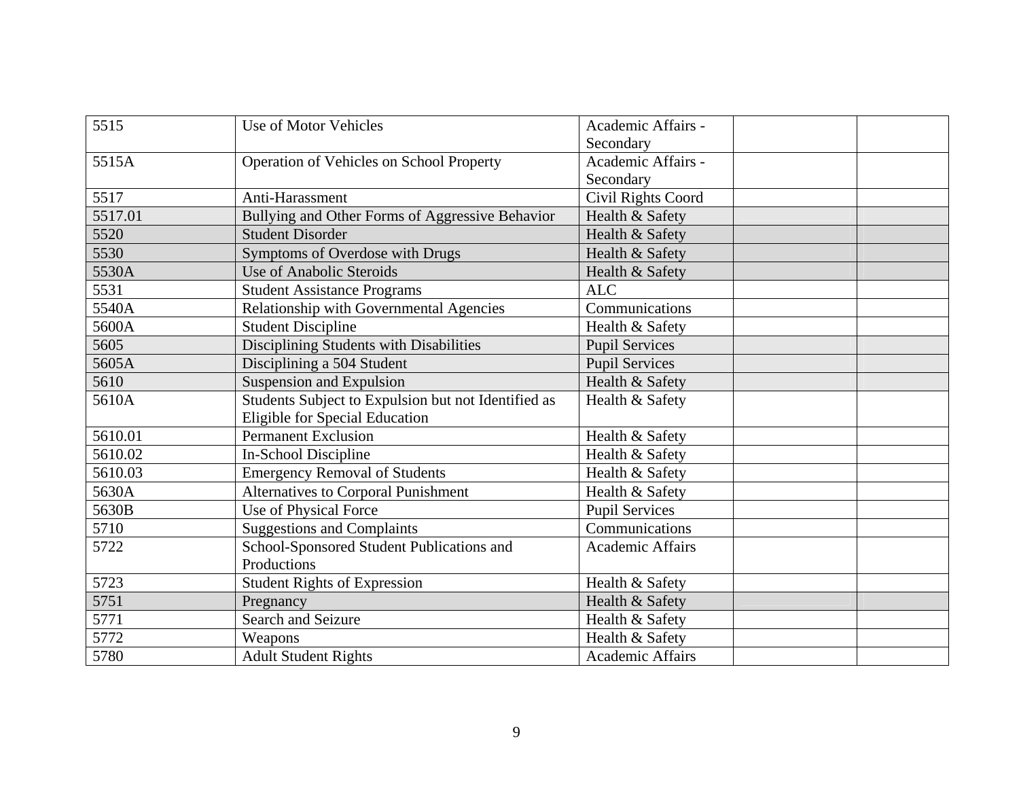| 5515    | Use of Motor Vehicles                               | Academic Affairs -      |
|---------|-----------------------------------------------------|-------------------------|
|         |                                                     | Secondary               |
| 5515A   | Operation of Vehicles on School Property            | Academic Affairs -      |
|         |                                                     | Secondary               |
| 5517    | Anti-Harassment                                     | Civil Rights Coord      |
| 5517.01 | Bullying and Other Forms of Aggressive Behavior     | Health & Safety         |
| 5520    | <b>Student Disorder</b>                             | Health & Safety         |
| 5530    | Symptoms of Overdose with Drugs                     | Health & Safety         |
| 5530A   | <b>Use of Anabolic Steroids</b>                     | Health & Safety         |
| 5531    | <b>Student Assistance Programs</b>                  | <b>ALC</b>              |
| 5540A   | Relationship with Governmental Agencies             | Communications          |
| 5600A   | <b>Student Discipline</b>                           | Health & Safety         |
| 5605    | Disciplining Students with Disabilities             | <b>Pupil Services</b>   |
| 5605A   | Disciplining a 504 Student                          | <b>Pupil Services</b>   |
| 5610    | <b>Suspension and Expulsion</b>                     | Health & Safety         |
| 5610A   | Students Subject to Expulsion but not Identified as | Health & Safety         |
|         | Eligible for Special Education                      |                         |
| 5610.01 | <b>Permanent Exclusion</b>                          | Health & Safety         |
| 5610.02 | In-School Discipline                                | Health & Safety         |
| 5610.03 | <b>Emergency Removal of Students</b>                | Health & Safety         |
| 5630A   | Alternatives to Corporal Punishment                 | Health & Safety         |
| 5630B   | Use of Physical Force                               | <b>Pupil Services</b>   |
| 5710    | <b>Suggestions and Complaints</b>                   | Communications          |
| 5722    | School-Sponsored Student Publications and           | <b>Academic Affairs</b> |
|         | Productions                                         |                         |
| 5723    | <b>Student Rights of Expression</b>                 | Health & Safety         |
| 5751    | Pregnancy                                           | Health & Safety         |
| 5771    | Search and Seizure                                  | Health & Safety         |
| 5772    | Weapons                                             | Health & Safety         |
| 5780    | <b>Adult Student Rights</b>                         | <b>Academic Affairs</b> |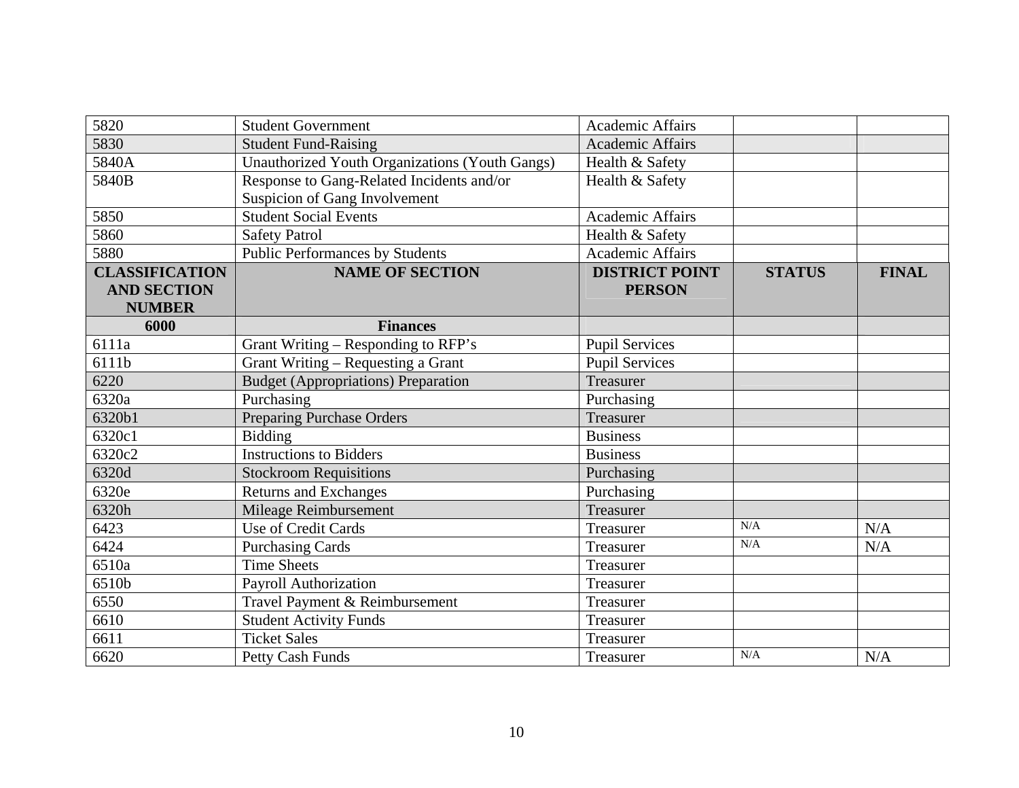| 5820                  | <b>Student Government</b>                      | <b>Academic Affairs</b> |               |              |
|-----------------------|------------------------------------------------|-------------------------|---------------|--------------|
| 5830                  | <b>Student Fund-Raising</b>                    | <b>Academic Affairs</b> |               |              |
| 5840A                 | Unauthorized Youth Organizations (Youth Gangs) | Health & Safety         |               |              |
| 5840B                 | Response to Gang-Related Incidents and/or      | Health & Safety         |               |              |
|                       | Suspicion of Gang Involvement                  |                         |               |              |
| 5850                  | <b>Student Social Events</b>                   | <b>Academic Affairs</b> |               |              |
| 5860                  | <b>Safety Patrol</b>                           | Health & Safety         |               |              |
| 5880                  | Public Performances by Students                | <b>Academic Affairs</b> |               |              |
| <b>CLASSIFICATION</b> | <b>NAME OF SECTION</b>                         | <b>DISTRICT POINT</b>   | <b>STATUS</b> | <b>FINAL</b> |
| <b>AND SECTION</b>    |                                                | <b>PERSON</b>           |               |              |
| <b>NUMBER</b>         |                                                |                         |               |              |
| 6000                  | <b>Finances</b>                                |                         |               |              |
| 6111a                 | Grant Writing – Responding to RFP's            | <b>Pupil Services</b>   |               |              |
| 6111b                 | Grant Writing - Requesting a Grant             | <b>Pupil Services</b>   |               |              |
| 6220                  | <b>Budget (Appropriations) Preparation</b>     | <b>Treasurer</b>        |               |              |
| 6320a                 | Purchasing                                     | Purchasing              |               |              |
| 6320b1                | <b>Preparing Purchase Orders</b>               | Treasurer               |               |              |
| 6320c1                | <b>Bidding</b>                                 | <b>Business</b>         |               |              |
| 6320c2                | <b>Instructions to Bidders</b>                 | <b>Business</b>         |               |              |
| 6320d                 | <b>Stockroom Requisitions</b>                  | Purchasing              |               |              |
| 6320e                 | <b>Returns and Exchanges</b>                   | Purchasing              |               |              |
| 6320h                 | Mileage Reimbursement                          | Treasurer               |               |              |
| 6423                  | <b>Use of Credit Cards</b>                     | Treasurer               | N/A           | N/A          |
| 6424                  | <b>Purchasing Cards</b>                        | Treasurer               | N/A           | N/A          |
| 6510a                 | <b>Time Sheets</b>                             | Treasurer               |               |              |
| 6510b                 | Payroll Authorization                          | Treasurer               |               |              |
| 6550                  | Travel Payment & Reimbursement                 | Treasurer               |               |              |
| 6610                  | <b>Student Activity Funds</b>                  | Treasurer               |               |              |
| 6611                  | <b>Ticket Sales</b>                            | Treasurer               |               |              |
| 6620                  | Petty Cash Funds                               | Treasurer               | N/A           | N/A          |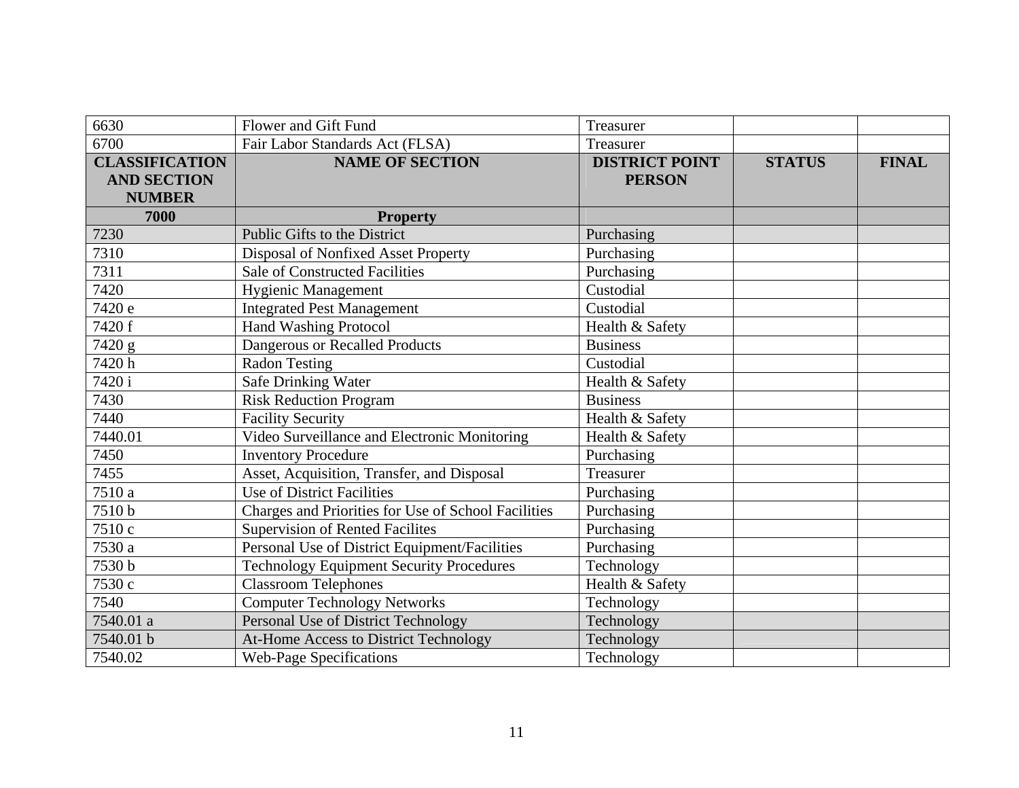| 6630                                                         | Flower and Gift Fund                                | Treasurer                              |               |              |
|--------------------------------------------------------------|-----------------------------------------------------|----------------------------------------|---------------|--------------|
| 6700                                                         | Fair Labor Standards Act (FLSA)                     | Treasurer                              |               |              |
| <b>CLASSIFICATION</b><br><b>AND SECTION</b><br><b>NUMBER</b> | <b>NAME OF SECTION</b>                              | <b>DISTRICT POINT</b><br><b>PERSON</b> | <b>STATUS</b> | <b>FINAL</b> |
| 7000                                                         | <b>Property</b>                                     |                                        |               |              |
| 7230                                                         | Public Gifts to the District                        | Purchasing                             |               |              |
| 7310                                                         | Disposal of Nonfixed Asset Property                 | Purchasing                             |               |              |
| 7311                                                         | <b>Sale of Constructed Facilities</b>               | Purchasing                             |               |              |
| 7420                                                         | <b>Hygienic Management</b>                          | Custodial                              |               |              |
| 7420 e                                                       | <b>Integrated Pest Management</b>                   | Custodial                              |               |              |
| 7420 f                                                       | <b>Hand Washing Protocol</b>                        | Health & Safety                        |               |              |
| 7420 g                                                       | Dangerous or Recalled Products                      | <b>Business</b>                        |               |              |
| 7420h                                                        | <b>Radon Testing</b>                                | Custodial                              |               |              |
| 7420i                                                        | Safe Drinking Water                                 | Health & Safety                        |               |              |
| 7430                                                         | <b>Risk Reduction Program</b>                       | <b>Business</b>                        |               |              |
| 7440                                                         | <b>Facility Security</b>                            | Health & Safety                        |               |              |
| 7440.01                                                      | Video Surveillance and Electronic Monitoring        | Health & Safety                        |               |              |
| 7450                                                         | <b>Inventory Procedure</b>                          | Purchasing                             |               |              |
| 7455                                                         | Asset, Acquisition, Transfer, and Disposal          | Treasurer                              |               |              |
| 7510 a                                                       | Use of District Facilities                          | Purchasing                             |               |              |
| 7510b                                                        | Charges and Priorities for Use of School Facilities | Purchasing                             |               |              |
| 7510c                                                        | <b>Supervision of Rented Facilites</b>              | Purchasing                             |               |              |
| 7530 a                                                       | Personal Use of District Equipment/Facilities       | Purchasing                             |               |              |
| 7530 b                                                       | <b>Technology Equipment Security Procedures</b>     | Technology                             |               |              |
| 7530 c                                                       | <b>Classroom Telephones</b>                         | Health & Safety                        |               |              |
| 7540                                                         | <b>Computer Technology Networks</b>                 | Technology                             |               |              |
| 7540.01 a                                                    | Personal Use of District Technology                 | Technology                             |               |              |
| 7540.01 b                                                    | At-Home Access to District Technology               | Technology                             |               |              |
| 7540.02                                                      | <b>Web-Page Specifications</b>                      | Technology                             |               |              |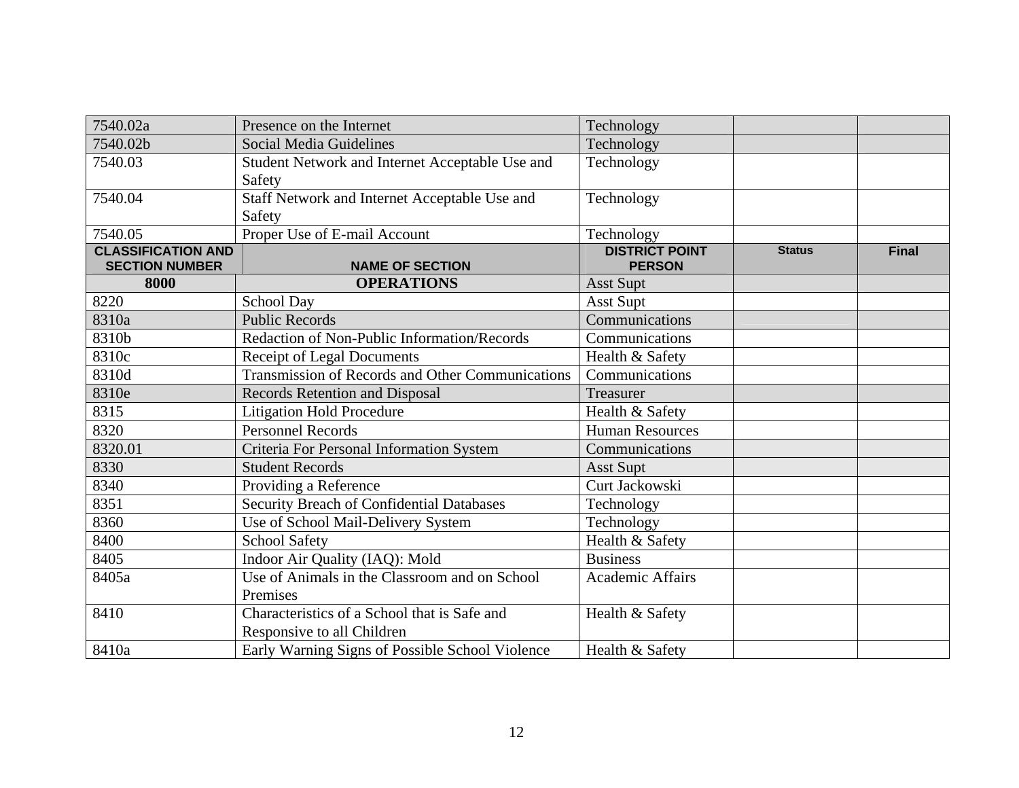| 7540.02a                                           | Presence on the Internet                                                   | Technology                             |               |              |
|----------------------------------------------------|----------------------------------------------------------------------------|----------------------------------------|---------------|--------------|
| 7540.02b                                           | Social Media Guidelines                                                    | Technology                             |               |              |
| 7540.03                                            | Student Network and Internet Acceptable Use and<br>Safety                  | Technology                             |               |              |
| 7540.04                                            | Staff Network and Internet Acceptable Use and<br>Safety                    | Technology                             |               |              |
| 7540.05                                            | Proper Use of E-mail Account                                               | Technology                             |               |              |
| <b>CLASSIFICATION AND</b><br><b>SECTION NUMBER</b> | <b>NAME OF SECTION</b>                                                     | <b>DISTRICT POINT</b><br><b>PERSON</b> | <b>Status</b> | <b>Final</b> |
| 8000                                               | <b>OPERATIONS</b>                                                          | <b>Asst Supt</b>                       |               |              |
| 8220                                               | <b>School Day</b>                                                          | Asst Supt                              |               |              |
| 8310a                                              | <b>Public Records</b>                                                      | Communications                         |               |              |
| 8310b                                              | Redaction of Non-Public Information/Records                                | Communications                         |               |              |
| 8310c                                              | Receipt of Legal Documents                                                 | Health & Safety                        |               |              |
| 8310d                                              | <b>Transmission of Records and Other Communications</b>                    | Communications                         |               |              |
| 8310e                                              | <b>Records Retention and Disposal</b>                                      | Treasurer                              |               |              |
| 8315                                               | <b>Litigation Hold Procedure</b>                                           | Health & Safety                        |               |              |
| 8320                                               | <b>Personnel Records</b>                                                   | <b>Human Resources</b>                 |               |              |
| 8320.01                                            | Criteria For Personal Information System                                   | Communications                         |               |              |
| 8330                                               | <b>Student Records</b>                                                     | <b>Asst Supt</b>                       |               |              |
| 8340                                               | Providing a Reference                                                      | Curt Jackowski                         |               |              |
| 8351                                               | Security Breach of Confidential Databases                                  | Technology                             |               |              |
| 8360                                               | Use of School Mail-Delivery System                                         | Technology                             |               |              |
| 8400                                               | <b>School Safety</b>                                                       | Health & Safety                        |               |              |
| 8405                                               | Indoor Air Quality (IAQ): Mold                                             | <b>Business</b>                        |               |              |
| 8405a                                              | Use of Animals in the Classroom and on School<br>Premises                  | <b>Academic Affairs</b>                |               |              |
| 8410                                               | Characteristics of a School that is Safe and<br>Responsive to all Children | Health & Safety                        |               |              |
| 8410a                                              | Early Warning Signs of Possible School Violence                            | Health & Safety                        |               |              |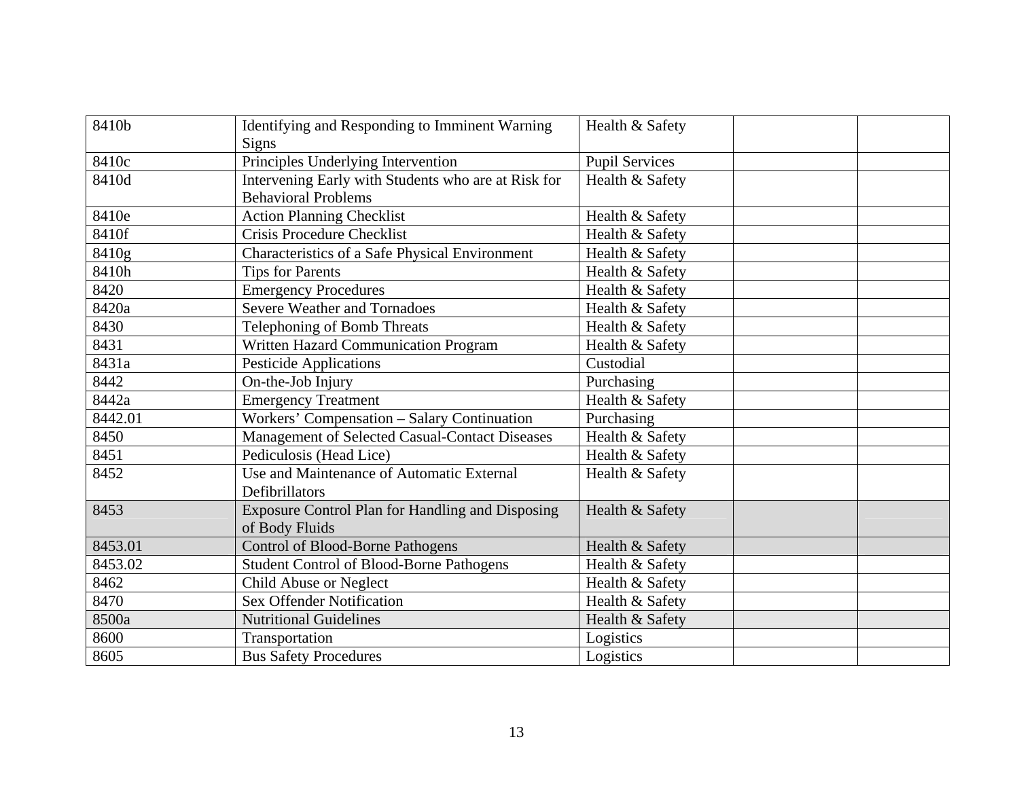| 8410b   | Identifying and Responding to Imminent Warning          | Health & Safety       |
|---------|---------------------------------------------------------|-----------------------|
|         | Signs                                                   |                       |
| 8410c   | Principles Underlying Intervention                      | <b>Pupil Services</b> |
| 8410d   | Intervening Early with Students who are at Risk for     | Health & Safety       |
|         | <b>Behavioral Problems</b>                              |                       |
| 8410e   | <b>Action Planning Checklist</b>                        | Health & Safety       |
| 8410f   | <b>Crisis Procedure Checklist</b>                       | Health & Safety       |
| 8410g   | Characteristics of a Safe Physical Environment          | Health & Safety       |
| 8410h   | <b>Tips for Parents</b>                                 | Health & Safety       |
| 8420    | <b>Emergency Procedures</b>                             | Health & Safety       |
| 8420a   | <b>Severe Weather and Tornadoes</b>                     | Health & Safety       |
| 8430    | Telephoning of Bomb Threats                             | Health & Safety       |
| 8431    | Written Hazard Communication Program                    | Health & Safety       |
| 8431a   | <b>Pesticide Applications</b>                           | Custodial             |
| 8442    | On-the-Job Injury                                       | Purchasing            |
| 8442a   | <b>Emergency Treatment</b>                              | Health & Safety       |
| 8442.01 | Workers' Compensation - Salary Continuation             | Purchasing            |
| 8450    | Management of Selected Casual-Contact Diseases          | Health & Safety       |
| 8451    | Pediculosis (Head Lice)                                 | Health & Safety       |
| 8452    | Use and Maintenance of Automatic External               | Health & Safety       |
|         | Defibrillators                                          |                       |
| 8453    | <b>Exposure Control Plan for Handling and Disposing</b> | Health & Safety       |
|         | of Body Fluids                                          |                       |
| 8453.01 | <b>Control of Blood-Borne Pathogens</b>                 | Health & Safety       |
| 8453.02 | <b>Student Control of Blood-Borne Pathogens</b>         | Health & Safety       |
| 8462    | <b>Child Abuse or Neglect</b>                           | Health & Safety       |
| 8470    | <b>Sex Offender Notification</b>                        | Health & Safety       |
| 8500a   | <b>Nutritional Guidelines</b>                           | Health & Safety       |
| 8600    | Transportation                                          | Logistics             |
| 8605    | <b>Bus Safety Procedures</b>                            | Logistics             |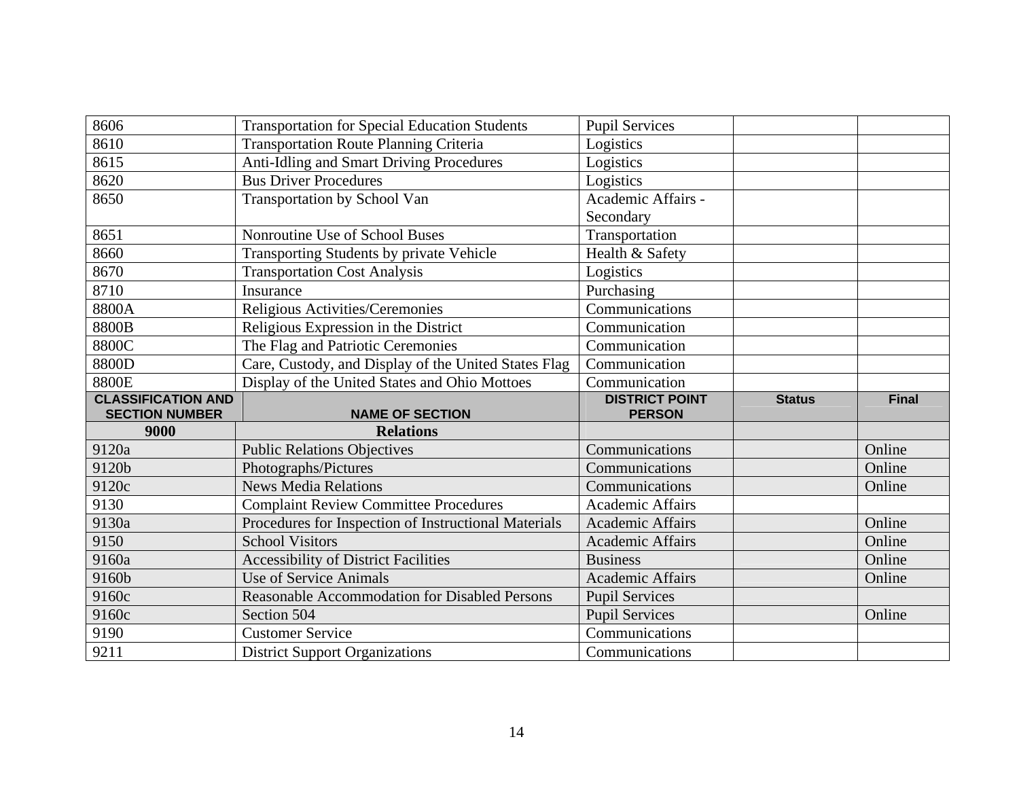| 8606                      | <b>Transportation for Special Education Students</b> | <b>Pupil Services</b>   |               |              |
|---------------------------|------------------------------------------------------|-------------------------|---------------|--------------|
| 8610                      | <b>Transportation Route Planning Criteria</b>        | Logistics               |               |              |
| 8615                      | Anti-Idling and Smart Driving Procedures             | Logistics               |               |              |
| 8620                      | <b>Bus Driver Procedures</b>                         | Logistics               |               |              |
| 8650                      | Transportation by School Van                         | Academic Affairs -      |               |              |
|                           |                                                      | Secondary               |               |              |
| 8651                      | Nonroutine Use of School Buses                       | Transportation          |               |              |
| 8660                      | Transporting Students by private Vehicle             | Health & Safety         |               |              |
| 8670                      | <b>Transportation Cost Analysis</b>                  | Logistics               |               |              |
| 8710                      | Insurance                                            | Purchasing              |               |              |
| 8800A                     | Religious Activities/Ceremonies                      | Communications          |               |              |
| 8800B                     | Religious Expression in the District                 | Communication           |               |              |
| 8800C                     | The Flag and Patriotic Ceremonies                    | Communication           |               |              |
| 8800D                     | Care, Custody, and Display of the United States Flag | Communication           |               |              |
| 8800E                     | Display of the United States and Ohio Mottoes        | Communication           |               |              |
|                           |                                                      |                         |               |              |
| <b>CLASSIFICATION AND</b> |                                                      | <b>DISTRICT POINT</b>   | <b>Status</b> | <b>Final</b> |
| <b>SECTION NUMBER</b>     | <b>NAME OF SECTION</b>                               | <b>PERSON</b>           |               |              |
| 9000                      | <b>Relations</b>                                     |                         |               |              |
| 9120a                     | <b>Public Relations Objectives</b>                   | Communications          |               | Online       |
| 9120b                     | Photographs/Pictures                                 | Communications          |               | Online       |
| 9120c                     | <b>News Media Relations</b>                          | Communications          |               | Online       |
| 9130                      | <b>Complaint Review Committee Procedures</b>         | <b>Academic Affairs</b> |               |              |
| 9130a                     | Procedures for Inspection of Instructional Materials | <b>Academic Affairs</b> |               | Online       |
| 9150                      | <b>School Visitors</b>                               | <b>Academic Affairs</b> |               | Online       |
| 9160a                     | <b>Accessibility of District Facilities</b>          | <b>Business</b>         |               | Online       |
| 9160b                     | Use of Service Animals                               | <b>Academic Affairs</b> |               | Online       |
| 9160c                     | Reasonable Accommodation for Disabled Persons        | <b>Pupil Services</b>   |               |              |
| 9160c                     | Section 504                                          | <b>Pupil Services</b>   |               | Online       |
| 9190                      | <b>Customer Service</b>                              | Communications          |               |              |